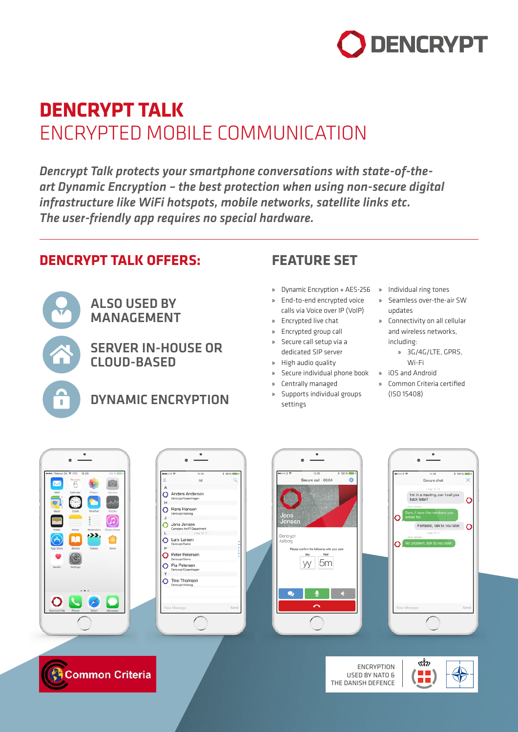

# **DENCRYPT TALK** ENCRYPTED MOBILE COMMUNICATION

*Dencrypt Talk protects your smartphone conversations with state-of-theart Dynamic Encryption – the best protection when using non-secure digital infrastructure like WiFi hotspots, mobile networks, satellite links etc. The user-friendly app requires no special hardware.*

### **DENCRYPT TALK OFFERS:**

ALSO USED BY MANAGEMENT

> SERVER IN-HOUSE OR CLOUD-BASED

DYNAMIC ENCRYPTION

### **FEATURE SET**

- » Dynamic Encryption + AES-256 » Individual ring tones
- » End-to-end encrypted voice calls via Voice over IP (VoIP)
- » Encrypted live chat
- » Encrypted group call
- » Secure call setup via a dedicated SIP server
- » High audio quality
- » Secure individual phone book » iOS and Android
- » Centrally managed
- » Supports individual groups settings

THE DANISH DEFENCE

- 
- » Seamless over-the-air SW updates
- » Connectivity on all cellular and wireless networks, including:
	- » 3G/4G/LTE, GPRS, Wi-Fi
- 
- » Common Criteria certified (ISO 15408)